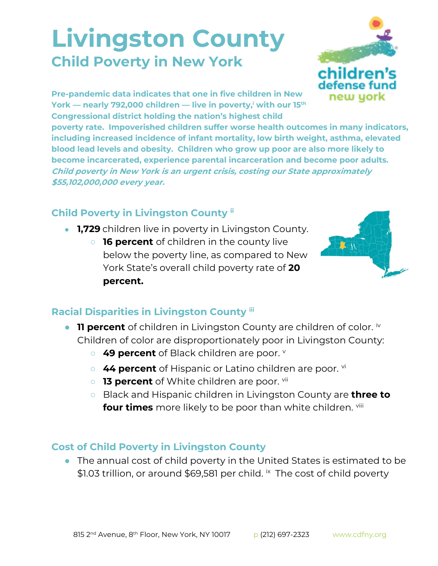## **Livingston County Child Poverty in New York**



**Pre-pandemic data indicates that one in five children in New York — nearly 792,000 children — live in poverty,<sup>i</sup> with our 15th Congressional district holding the nation's highest child** 

**poverty rate. Impoverished children suffer worse health outcomes in many indicators, including increased incidence of infant mortality, low birth weight, asthma, elevated blood lead levels and obesity. Children who grow up poor are also more likely to become incarcerated, experience parental incarceration and become poor adults. Child poverty in New York is an urgent crisis, costing our State approximately \$55,102,000,000 every year.**

## **Child Poverty in Livingston County ii**

- **1,729** children live in poverty in Livingston County.
	- **16 percent** of children in the county live below the poverty line, as compared to New York State's overall child poverty rate of **20 percent.**



## **Racial Disparities in Livingston County iii**

- **11 percent** of children in Livingston County are children of color. iv Children of color are disproportionately poor in Livingston County:
	- 49 percent of Black children are poor. **v**
	- 44 percent of Hispanic or Latino children are poor. <sup>vi</sup>
	- **13 percent** of White children are poor. <sup>vii</sup>
	- Black and Hispanic children in Livingston County are **three to four times** more likely to be poor than white children. Vill

## **Cost of Child Poverty in Livingston County**

● The annual cost of child poverty in the United States is estimated to be \$1.03 trillion, or around \$69,581 per child. *i*x The cost of child poverty